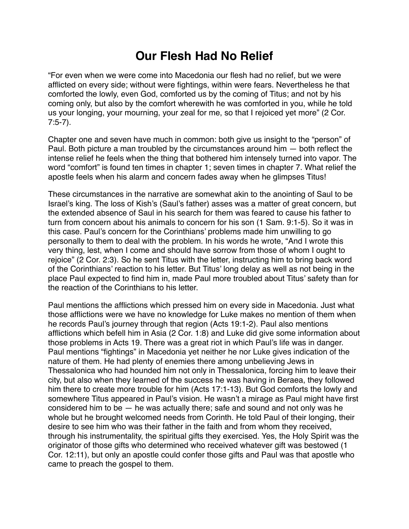## **Our Flesh Had No Relief**

"For even when we were come into Macedonia our flesh had no relief, but we were afflicted on every side; without were fightings, within were fears. Nevertheless he that comforted the lowly, even God, comforted us by the coming of Titus; and not by his coming only, but also by the comfort wherewith he was comforted in you, while he told us your longing, your mourning, your zeal for me, so that I rejoiced yet more" (2 Cor. 7:5-7).

Chapter one and seven have much in common: both give us insight to the "person" of Paul. Both picture a man troubled by the circumstances around him — both reflect the intense relief he feels when the thing that bothered him intensely turned into vapor. The word "comfort" is found ten times in chapter 1; seven times in chapter 7. What relief the apostle feels when his alarm and concern fades away when he glimpses Titus!

These circumstances in the narrative are somewhat akin to the anointing of Saul to be Israel's king. The loss of Kish's (Saul's father) asses was a matter of great concern, but the extended absence of Saul in his search for them was feared to cause his father to turn from concern about his animals to concern for his son (1 Sam. 9:1-5). So it was in this case. Paul's concern for the Corinthians' problems made him unwilling to go personally to them to deal with the problem. In his words he wrote, "And I wrote this very thing, lest, when I come and should have sorrow from those of whom I ought to rejoice" (2 Cor. 2:3). So he sent Titus with the letter, instructing him to bring back word of the Corinthians' reaction to his letter. But Titus' long delay as well as not being in the place Paul expected to find him in, made Paul more troubled about Titus' safety than for the reaction of the Corinthians to his letter.

Paul mentions the afflictions which pressed him on every side in Macedonia. Just what those afflictions were we have no knowledge for Luke makes no mention of them when he records Paul's journey through that region (Acts 19:1-2). Paul also mentions afflictions which befell him in Asia (2 Cor. 1:8) and Luke did give some information about those problems in Acts 19. There was a great riot in which Paul's life was in danger. Paul mentions "fightings" in Macedonia yet neither he nor Luke gives indication of the nature of them. He had plenty of enemies there among unbelieving Jews in Thessalonica who had hounded him not only in Thessalonica, forcing him to leave their city, but also when they learned of the success he was having in Beraea, they followed him there to create more trouble for him (Acts 17:1-13). But God comforts the lowly and somewhere Titus appeared in Paul's vision. He wasn't a mirage as Paul might have first considered him to be — he was actually there; safe and sound and not only was he whole but he brought welcomed needs from Corinth. He told Paul of their longing, their desire to see him who was their father in the faith and from whom they received, through his instrumentality, the spiritual gifts they exercised. Yes, the Holy Spirit was the originator of those gifts who determined who received whatever gift was bestowed (1 Cor. 12:11), but only an apostle could confer those gifts and Paul was that apostle who came to preach the gospel to them.